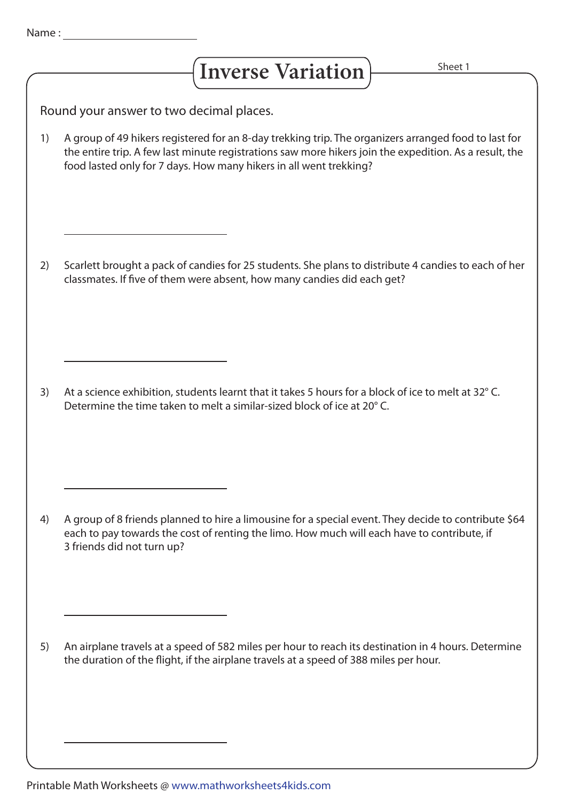## Inverse Variation **Figure** 1 Sheet 1

Round your answer to two decimal places.

A group of 49 hikers registered for an 8-day trekking trip. The organizers arranged food to last for the entire trip. A few last minute registrations saw more hikers join the expedition. As a result, the food lasted only for 7 days. How many hikers in all went trekking? 1)

Scarlett brought a pack of candies for 25 students. She plans to distribute 4 candies to each of her classmates. If five of them were absent, how many candies did each get? 2)

At a science exhibition, students learnt that it takes 5 hours for a block of ice to melt at 32° C. Determine the time taken to melt a similar-sized block of ice at 20° C. 3)

4) A group of 8 friends planned to hire a limousine for a special event. They decide to contribute \$64 each to pay towards the cost of renting the limo. How much will each have to contribute, if 3 friends did not turn up?

An airplane travels at a speed of 582 miles per hour to reach its destination in 4 hours. Determine the duration of the flight, if the airplane travels at a speed of 388 miles per hour. 5)